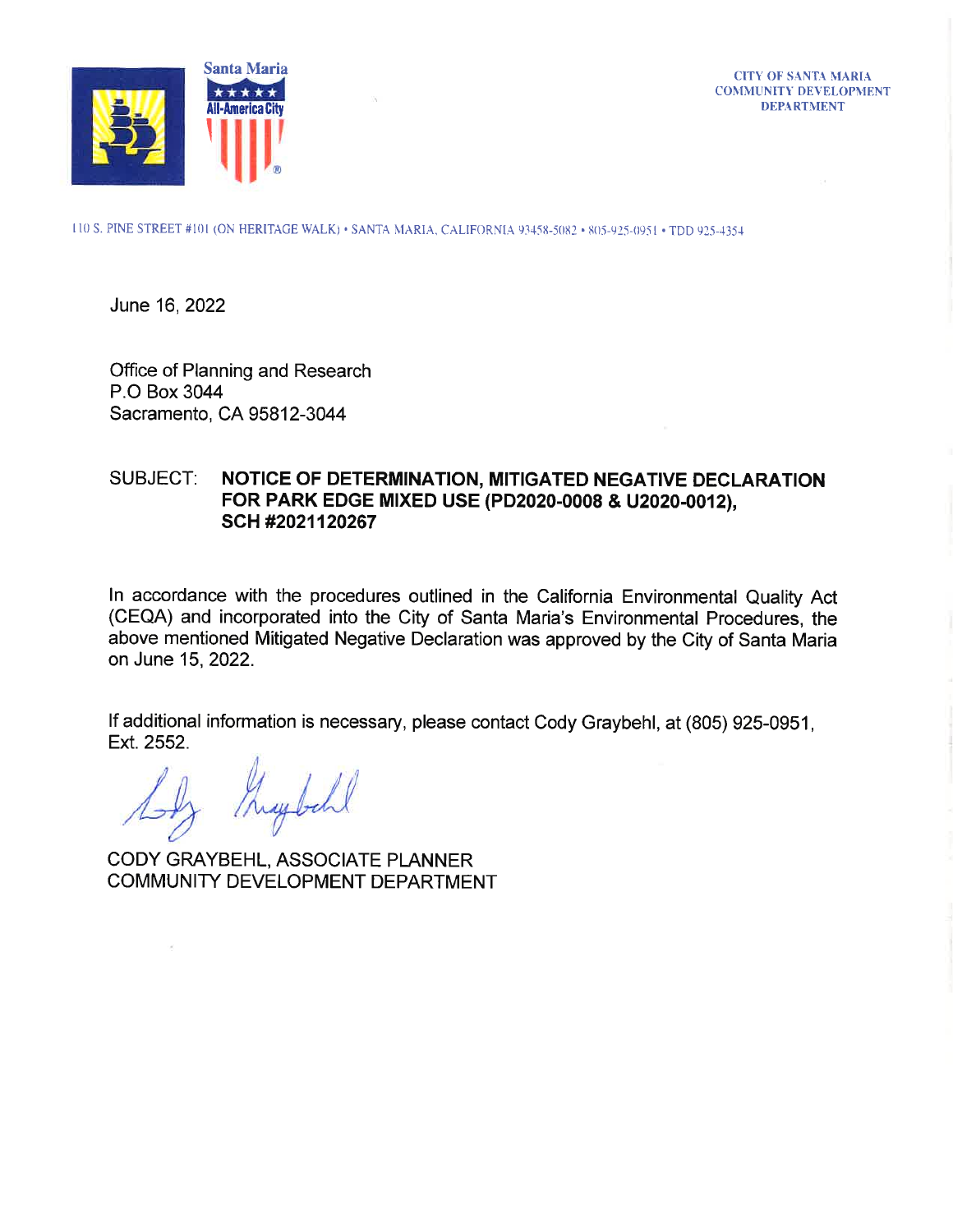

**CITY OF SANTA MARIA COMMUNITY DEVELOPMENT DEPARTMENT** 

110 S. PINE STREET #101 (ON HERITAGE WALK) · SANTA MARIA, CALIFORNIA 93458-5082 · 805-925-0951 · TDD 925-4354

June 16, 2022

Office of Planning and Research P.O Box 3044 Sacramento, CA 95812-3044

## NOTICE OF DETERMINATION, MITIGATED NEGATIVE DECLARATION **SUBJECT:** FOR PARK EDGE MIXED USE (PD2020-0008 & U2020-0012), SCH #2021120267

In accordance with the procedures outlined in the California Environmental Quality Act (CEQA) and incorporated into the City of Santa Maria's Environmental Procedures, the above mentioned Mitigated Negative Declaration was approved by the City of Santa Maria on June 15, 2022.

If additional information is necessary, please contact Cody Graybehl, at (805) 925-0951, Ext. 2552.

 $\sim 0.1$ 

CODY GRAYBEHL, ASSOCIATE PLANNER COMMUNITY DEVELOPMENT DEPARTMENT